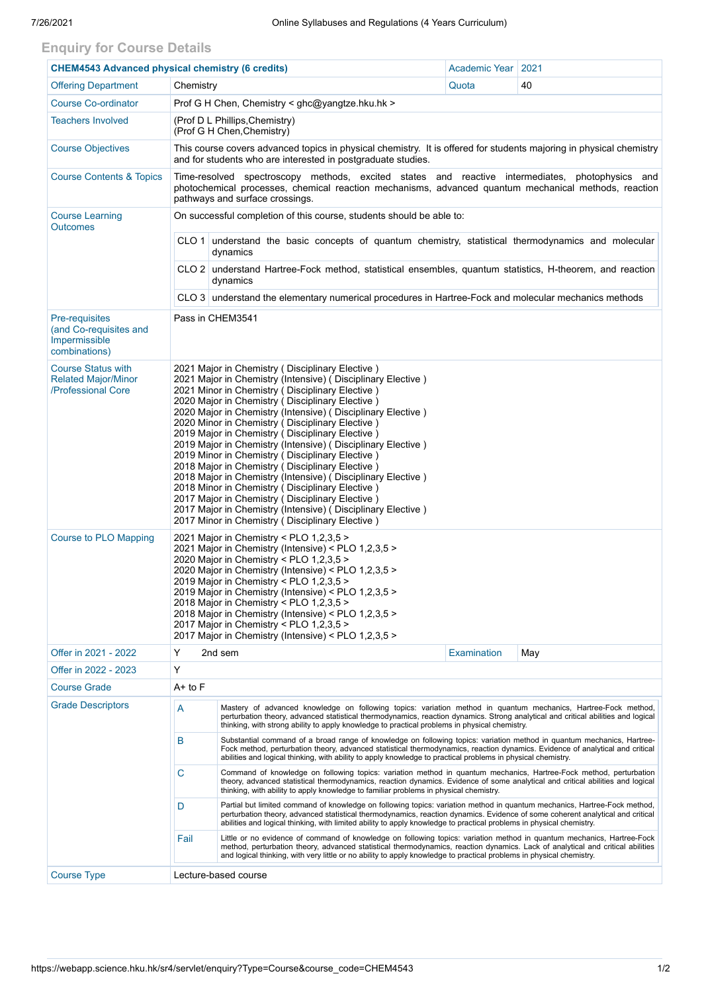## **Enquiry for Course Details**

| <b>CHEM4543 Advanced physical chemistry (6 credits)</b>                           |                                                                                                                                                                                                                                                                                                                                                                                                                                                                                                                                                                                                                                                                                                                                                                                                                                                       | Academic Year                                                                                                                                                                                                                                                                                                                                                                       | 2021               |     |  |  |  |
|-----------------------------------------------------------------------------------|-------------------------------------------------------------------------------------------------------------------------------------------------------------------------------------------------------------------------------------------------------------------------------------------------------------------------------------------------------------------------------------------------------------------------------------------------------------------------------------------------------------------------------------------------------------------------------------------------------------------------------------------------------------------------------------------------------------------------------------------------------------------------------------------------------------------------------------------------------|-------------------------------------------------------------------------------------------------------------------------------------------------------------------------------------------------------------------------------------------------------------------------------------------------------------------------------------------------------------------------------------|--------------------|-----|--|--|--|
| <b>Offering Department</b>                                                        | Chemistry                                                                                                                                                                                                                                                                                                                                                                                                                                                                                                                                                                                                                                                                                                                                                                                                                                             |                                                                                                                                                                                                                                                                                                                                                                                     | Quota              | 40  |  |  |  |
| <b>Course Co-ordinator</b>                                                        | Prof G H Chen, Chemistry < ghc@yangtze.hku.hk >                                                                                                                                                                                                                                                                                                                                                                                                                                                                                                                                                                                                                                                                                                                                                                                                       |                                                                                                                                                                                                                                                                                                                                                                                     |                    |     |  |  |  |
| <b>Teachers Involved</b>                                                          | (Prof D L Phillips, Chemistry)<br>(Prof G H Chen, Chemistry)                                                                                                                                                                                                                                                                                                                                                                                                                                                                                                                                                                                                                                                                                                                                                                                          |                                                                                                                                                                                                                                                                                                                                                                                     |                    |     |  |  |  |
| <b>Course Objectives</b>                                                          | This course covers advanced topics in physical chemistry. It is offered for students majoring in physical chemistry<br>and for students who are interested in postgraduate studies.                                                                                                                                                                                                                                                                                                                                                                                                                                                                                                                                                                                                                                                                   |                                                                                                                                                                                                                                                                                                                                                                                     |                    |     |  |  |  |
| <b>Course Contents &amp; Topics</b>                                               | Time-resolved spectroscopy methods, excited states and reactive intermediates, photophysics and<br>photochemical processes, chemical reaction mechanisms, advanced quantum mechanical methods, reaction<br>pathways and surface crossings.                                                                                                                                                                                                                                                                                                                                                                                                                                                                                                                                                                                                            |                                                                                                                                                                                                                                                                                                                                                                                     |                    |     |  |  |  |
| <b>Course Learning</b><br><b>Outcomes</b>                                         | On successful completion of this course, students should be able to:                                                                                                                                                                                                                                                                                                                                                                                                                                                                                                                                                                                                                                                                                                                                                                                  |                                                                                                                                                                                                                                                                                                                                                                                     |                    |     |  |  |  |
|                                                                                   | CLO 1 understand the basic concepts of quantum chemistry, statistical thermodynamics and molecular<br>dynamics                                                                                                                                                                                                                                                                                                                                                                                                                                                                                                                                                                                                                                                                                                                                        |                                                                                                                                                                                                                                                                                                                                                                                     |                    |     |  |  |  |
|                                                                                   | CLO 2 understand Hartree-Fock method, statistical ensembles, quantum statistics, H-theorem, and reaction<br>dynamics                                                                                                                                                                                                                                                                                                                                                                                                                                                                                                                                                                                                                                                                                                                                  |                                                                                                                                                                                                                                                                                                                                                                                     |                    |     |  |  |  |
|                                                                                   | $CLO3$ understand the elementary numerical procedures in Hartree-Fock and molecular mechanics methods                                                                                                                                                                                                                                                                                                                                                                                                                                                                                                                                                                                                                                                                                                                                                 |                                                                                                                                                                                                                                                                                                                                                                                     |                    |     |  |  |  |
| <b>Pre-requisites</b><br>(and Co-requisites and<br>Impermissible<br>combinations) | Pass in CHEM3541                                                                                                                                                                                                                                                                                                                                                                                                                                                                                                                                                                                                                                                                                                                                                                                                                                      |                                                                                                                                                                                                                                                                                                                                                                                     |                    |     |  |  |  |
| <b>Course Status with</b><br><b>Related Major/Minor</b><br>/Professional Core     | 2021 Major in Chemistry (Disciplinary Elective)<br>2021 Major in Chemistry (Intensive) (Disciplinary Elective)<br>2021 Minor in Chemistry (Disciplinary Elective)<br>2020 Major in Chemistry (Disciplinary Elective)<br>2020 Major in Chemistry (Intensive) (Disciplinary Elective)<br>2020 Minor in Chemistry (Disciplinary Elective)<br>2019 Major in Chemistry (Disciplinary Elective)<br>2019 Major in Chemistry (Intensive) (Disciplinary Elective)<br>2019 Minor in Chemistry (Disciplinary Elective)<br>2018 Major in Chemistry (Disciplinary Elective)<br>2018 Major in Chemistry (Intensive) (Disciplinary Elective)<br>2018 Minor in Chemistry (Disciplinary Elective)<br>2017 Major in Chemistry (Disciplinary Elective)<br>2017 Major in Chemistry (Intensive) (Disciplinary Elective)<br>2017 Minor in Chemistry (Disciplinary Elective) |                                                                                                                                                                                                                                                                                                                                                                                     |                    |     |  |  |  |
| <b>Course to PLO Mapping</b>                                                      | 2021 Major in Chemistry < PLO 1,2,3,5 ><br>2021 Major in Chemistry (Intensive) < PLO 1,2,3,5 ><br>2020 Major in Chemistry < PLO 1,2,3,5 ><br>2020 Major in Chemistry (Intensive) < PLO 1,2,3,5 ><br>2019 Major in Chemistry < PLO 1,2,3,5 ><br>2019 Major in Chemistry (Intensive) < PLO 1,2,3,5 ><br>2018 Major in Chemistry < PLO 1,2,3,5 ><br>2018 Major in Chemistry (Intensive) < PLO 1,2,3,5 ><br>2017 Major in Chemistry < PLO 1,2,3,5 ><br>2017 Major in Chemistry (Intensive) < PLO 1,2,3,5 >                                                                                                                                                                                                                                                                                                                                                |                                                                                                                                                                                                                                                                                                                                                                                     |                    |     |  |  |  |
| Offer in 2021 - 2022                                                              | Y                                                                                                                                                                                                                                                                                                                                                                                                                                                                                                                                                                                                                                                                                                                                                                                                                                                     | 2nd sem                                                                                                                                                                                                                                                                                                                                                                             | <b>Examination</b> | May |  |  |  |
| Offer in 2022 - 2023                                                              | Y                                                                                                                                                                                                                                                                                                                                                                                                                                                                                                                                                                                                                                                                                                                                                                                                                                                     |                                                                                                                                                                                                                                                                                                                                                                                     |                    |     |  |  |  |
| <b>Course Grade</b>                                                               | A+ to F                                                                                                                                                                                                                                                                                                                                                                                                                                                                                                                                                                                                                                                                                                                                                                                                                                               |                                                                                                                                                                                                                                                                                                                                                                                     |                    |     |  |  |  |
| <b>Grade Descriptors</b>                                                          | A                                                                                                                                                                                                                                                                                                                                                                                                                                                                                                                                                                                                                                                                                                                                                                                                                                                     | Mastery of advanced knowledge on following topics: variation method in quantum mechanics, Hartree-Fock method,<br>perturbation theory, advanced statistical thermodynamics, reaction dynamics. Strong analytical and critical abilities and logical<br>thinking, with strong ability to apply knowledge to practical problems in physical chemistry.                                |                    |     |  |  |  |
|                                                                                   | B                                                                                                                                                                                                                                                                                                                                                                                                                                                                                                                                                                                                                                                                                                                                                                                                                                                     | Substantial command of a broad range of knowledge on following topics: variation method in quantum mechanics, Hartree-<br>Fock method, perturbation theory, advanced statistical thermodynamics, reaction dynamics. Evidence of analytical and critical<br>abilities and logical thinking, with ability to apply knowledge to practical problems in physical chemistry.             |                    |     |  |  |  |
|                                                                                   | C                                                                                                                                                                                                                                                                                                                                                                                                                                                                                                                                                                                                                                                                                                                                                                                                                                                     | Command of knowledge on following topics: variation method in quantum mechanics, Hartree-Fock method, perturbation<br>theory, advanced statistical thermodynamics, reaction dynamics. Evidence of some analytical and critical abilities and logical<br>thinking, with ability to apply knowledge to familiar problems in physical chemistry.                                       |                    |     |  |  |  |
|                                                                                   | D                                                                                                                                                                                                                                                                                                                                                                                                                                                                                                                                                                                                                                                                                                                                                                                                                                                     | Partial but limited command of knowledge on following topics: variation method in quantum mechanics, Hartree-Fock method,<br>perturbation theory, advanced statistical thermodynamics, reaction dynamics. Evidence of some coherent analytical and critical<br>abilities and logical thinking, with limited ability to apply knowledge to practical problems in physical chemistry. |                    |     |  |  |  |
|                                                                                   | Fail                                                                                                                                                                                                                                                                                                                                                                                                                                                                                                                                                                                                                                                                                                                                                                                                                                                  | Little or no evidence of command of knowledge on following topics: variation method in quantum mechanics, Hartree-Fock<br>method, perturbation theory, advanced statistical thermodynamics, reaction dynamics. Lack of analytical and critical abilities<br>and logical thinking, with very little or no ability to apply knowledge to practical problems in physical chemistry.    |                    |     |  |  |  |
| <b>Course Type</b>                                                                | Lecture-based course                                                                                                                                                                                                                                                                                                                                                                                                                                                                                                                                                                                                                                                                                                                                                                                                                                  |                                                                                                                                                                                                                                                                                                                                                                                     |                    |     |  |  |  |